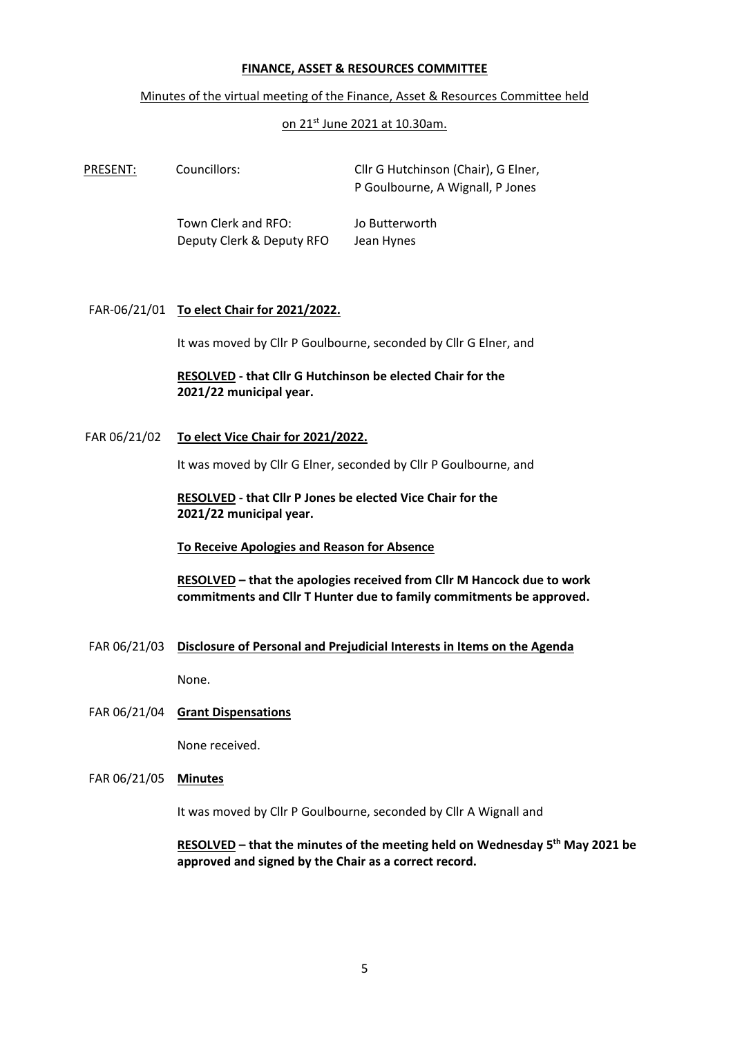#### **FINANCE, ASSET & RESOURCES COMMITTEE**

#### Minutes of the virtual meeting of the Finance, Asset & Resources Committee held

#### on 21st June 2021 at 10.30am.

| PRESENT: | Councillors:                                     | Cllr G Hutchinson (Chair), G Elner,<br>P Goulbourne, A Wignall, P Jones |
|----------|--------------------------------------------------|-------------------------------------------------------------------------|
|          | Town Clerk and RFO:<br>Deputy Clerk & Deputy RFO | Jo Butterworth<br>Jean Hynes                                            |

#### FAR-06/21/01 **To elect Chair for 2021/2022.**

It was moved by Cllr P Goulbourne, seconded by Cllr G Elner, and

## **RESOLVED - that Cllr G Hutchinson be elected Chair for the 2021/22 municipal year.**

FAR 06/21/02 **To elect Vice Chair for 2021/2022.**

It was moved by Cllr G Elner, seconded by Cllr P Goulbourne, and

**RESOLVED - that Cllr P Jones be elected Vice Chair for the 2021/22 municipal year.**

### **To Receive Apologies and Reason for Absence**

**RESOLVED – that the apologies received from Cllr M Hancock due to work commitments and Cllr T Hunter due to family commitments be approved.**

FAR 06/21/03 **Disclosure of Personal and Prejudicial Interests in Items on the Agenda**

None.

### FAR 06/21/04 **Grant Dispensations**

None received.

FAR 06/21/05 **Minutes**

It was moved by Cllr P Goulbourne, seconded by Cllr A Wignall and

**RESOLVED – that the minutes of the meeting held on Wednesday 5 th May 2021 be approved and signed by the Chair as a correct record.**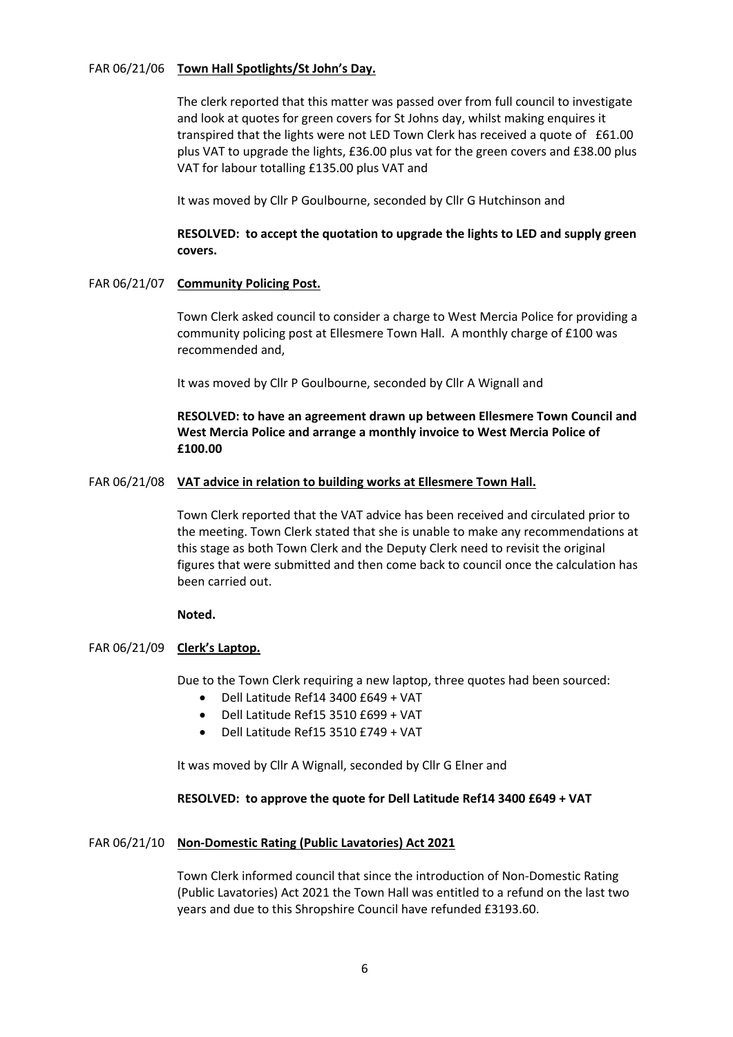## FAR 06/21/06 **Town Hall Spotlights/St John's Day.**

The clerk reported that this matter was passed over from full council to investigate and look at quotes for green covers for St Johns day, whilst making enquires it transpired that the lights were not LED Town Clerk has received a quote of £61.00 plus VAT to upgrade the lights, £36.00 plus vat for the green covers and £38.00 plus VAT for labour totalling £135.00 plus VAT and

It was moved by Cllr P Goulbourne, seconded by Cllr G Hutchinson and

# **RESOLVED: to accept the quotation to upgrade the lights to LED and supply green covers.**

## FAR 06/21/07 **Community Policing Post.**

Town Clerk asked council to consider a charge to West Mercia Police for providing a community policing post at Ellesmere Town Hall. A monthly charge of £100 was recommended and,

It was moved by Cllr P Goulbourne, seconded by Cllr A Wignall and

# **RESOLVED: to have an agreement drawn up between Ellesmere Town Council and West Mercia Police and arrange a monthly invoice to West Mercia Police of £100.00**

### FAR 06/21/08 **VAT advice in relation to building works at Ellesmere Town Hall.**

Town Clerk reported that the VAT advice has been received and circulated prior to the meeting. Town Clerk stated that she is unable to make any recommendations at this stage as both Town Clerk and the Deputy Clerk need to revisit the original figures that were submitted and then come back to council once the calculation has been carried out.

## **Noted.**

## FAR 06/21/09 **Clerk's Laptop.**

Due to the Town Clerk requiring a new laptop, three quotes had been sourced:

- Dell Latitude Ref14 3400 £649 + VAT
- Dell Latitude Ref15 3510 £699 + VAT
- Dell Latitude Ref15 3510 £749 + VAT

It was moved by Cllr A Wignall, seconded by Cllr G Elner and

#### **RESOLVED: to approve the quote for Dell Latitude Ref14 3400 £649 + VAT**

#### FAR 06/21/10 **Non-Domestic Rating (Public Lavatories) Act 2021**

Town Clerk informed council that since the introduction of Non-Domestic Rating (Public Lavatories) Act 2021 the Town Hall was entitled to a refund on the last two years and due to this Shropshire Council have refunded £3193.60.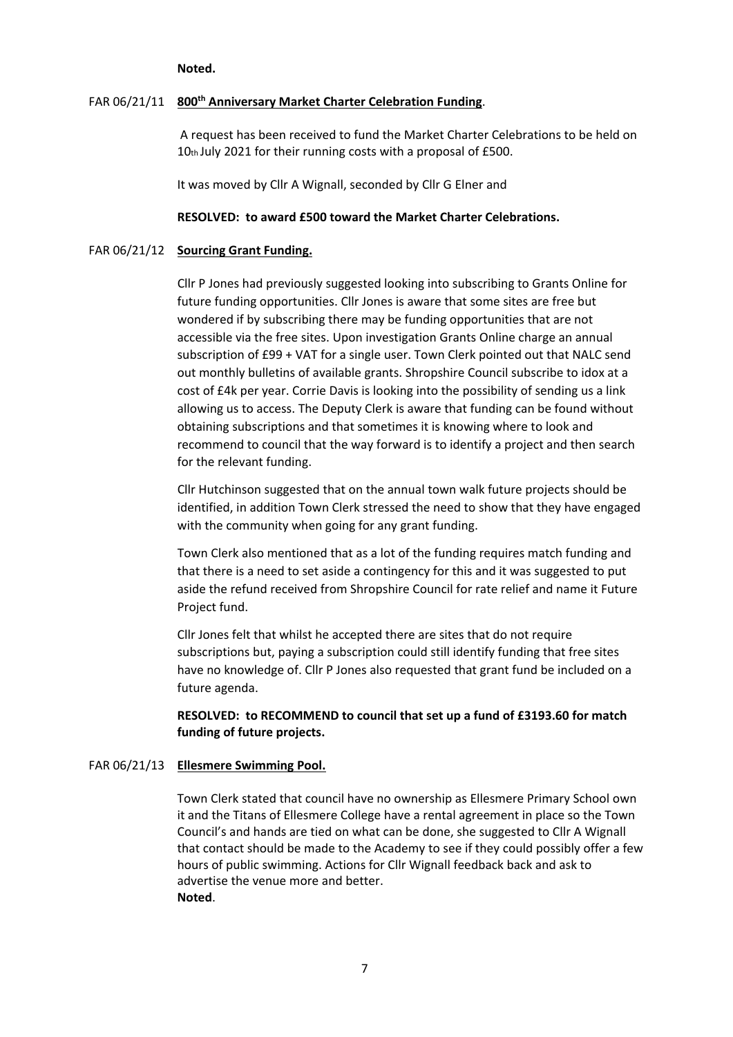#### **Noted.**

# FAR 06/21/11 **800th Anniversary Market Charter Celebration Funding**.

A request has been received to fund the Market Charter Celebrations to be held on 10th July 2021 for their running costs with a proposal of £500.

It was moved by Cllr A Wignall, seconded by Cllr G Elner and

#### **RESOLVED: to award £500 toward the Market Charter Celebrations.**

#### FAR 06/21/12 **Sourcing Grant Funding.**

Cllr P Jones had previously suggested looking into subscribing to Grants Online for future funding opportunities. Cllr Jones is aware that some sites are free but wondered if by subscribing there may be funding opportunities that are not accessible via the free sites. Upon investigation Grants Online charge an annual subscription of £99 + VAT for a single user. Town Clerk pointed out that NALC send out monthly bulletins of available grants. Shropshire Council subscribe to idox at a cost of £4k per year. Corrie Davis is looking into the possibility of sending us a link allowing us to access. The Deputy Clerk is aware that funding can be found without obtaining subscriptions and that sometimes it is knowing where to look and recommend to council that the way forward is to identify a project and then search for the relevant funding.

Cllr Hutchinson suggested that on the annual town walk future projects should be identified, in addition Town Clerk stressed the need to show that they have engaged with the community when going for any grant funding.

Town Clerk also mentioned that as a lot of the funding requires match funding and that there is a need to set aside a contingency for this and it was suggested to put aside the refund received from Shropshire Council for rate relief and name it Future Project fund.

Cllr Jones felt that whilst he accepted there are sites that do not require subscriptions but, paying a subscription could still identify funding that free sites have no knowledge of. Cllr P Jones also requested that grant fund be included on a future agenda.

## **RESOLVED: to RECOMMEND to council that set up a fund of £3193.60 for match funding of future projects.**

#### FAR 06/21/13 **Ellesmere Swimming Pool.**

Town Clerk stated that council have no ownership as Ellesmere Primary School own it and the Titans of Ellesmere College have a rental agreement in place so the Town Council's and hands are tied on what can be done, she suggested to Cllr A Wignall that contact should be made to the Academy to see if they could possibly offer a few hours of public swimming. Actions for Cllr Wignall feedback back and ask to advertise the venue more and better. **Noted**.